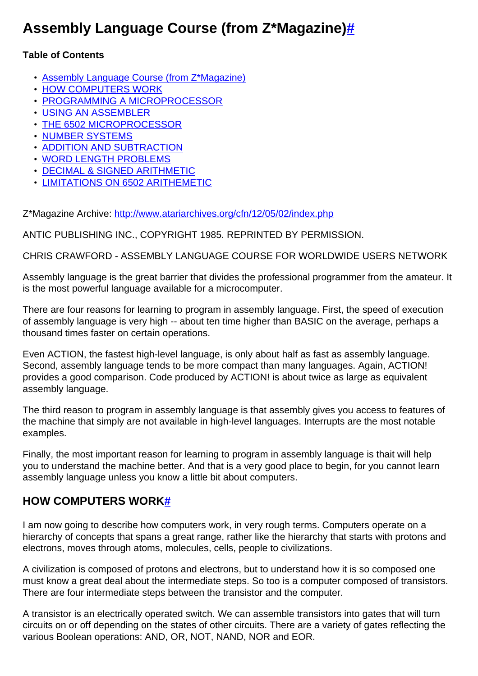# **Assembly Language Course (from Z\*Magazine[\)#](http://[fd00::119]:8080/wiki/#section-Assembly+Course+from+ZMagazine-AssemblyLanguageCourseFromZMagazine)**

#### **Table of Contents**

- [Assembly Language Course \(from Z\\*Magazine\)](http://[fd00::119]:8080/wiki/#section-Assembly+Course+from+ZMagazine-AssemblyLanguageCourseFromZMagazine)
- [HOW COMPUTERS WORK](http://[fd00::119]:8080/wiki/#section-Assembly+Course+from+ZMagazine-HOWCOMPUTERSWORK)
- [PROGRAMMING A MICROPROCESSOR](http://[fd00::119]:8080/wiki/#section-Assembly+Course+from+ZMagazine-PROGRAMMINGAMICROPROCESSOR)
- [USING AN ASSEMBLER](http://[fd00::119]:8080/wiki/#section-Assembly+Course+from+ZMagazine-USINGANASSEMBLER)
- [THE 6502 MICROPROCESSOR](http://[fd00::119]:8080/wiki/#section-Assembly+Course+from+ZMagazine-THE6502MICROPROCESSOR)
- [NUMBER SYSTEMS](http://[fd00::119]:8080/wiki/#section-Assembly+Course+from+ZMagazine-NUMBERSYSTEMS)
- [ADDITION AND SUBTRACTION](http://[fd00::119]:8080/wiki/#section-Assembly+Course+from+ZMagazine-ADDITIONANDSUBTRACTION)
- [WORD LENGTH PROBLEMS](http://[fd00::119]:8080/wiki/#section-Assembly+Course+from+ZMagazine-WORDLENGTHPROBLEMS)
- [DECIMAL & SIGNED ARITHMETIC](http://[fd00::119]:8080/wiki/#section-Assembly+Course+from+ZMagazine-DECIMALSIGNEDARITHMETIC)
- [LIMITATIONS ON 6502 ARITHEMETIC](http://[fd00::119]:8080/wiki/#section-Assembly+Course+from+ZMagazine-LIMITATIONSON6502ARITHEMETIC)

Z\*Magazine Archive:<http://www.atariarchives.org/cfn/12/05/02/index.php>

ANTIC PUBLISHING INC., COPYRIGHT 1985. REPRINTED BY PERMISSION.

CHRIS CRAWFORD - ASSEMBLY LANGUAGE COURSE FOR WORLDWIDE USERS NETWORK

Assembly language is the great barrier that divides the professional programmer from the amateur. It is the most powerful language available for a microcomputer.

There are four reasons for learning to program in assembly language. First, the speed of execution of assembly language is very high -- about ten time higher than BASIC on the average, perhaps a thousand times faster on certain operations.

Even ACTION, the fastest high-level language, is only about half as fast as assembly language. Second, assembly language tends to be more compact than many languages. Again, ACTION! provides a good comparison. Code produced by ACTION! is about twice as large as equivalent assembly language.

The third reason to program in assembly language is that assembly gives you access to features of the machine that simply are not available in high-level languages. Interrupts are the most notable examples.

Finally, the most important reason for learning to program in assembly language is thait will help you to understand the machine better. And that is a very good place to begin, for you cannot learn assembly language unless you know a little bit about computers.

## **HOW COMPUTERS WORK[#](http://[fd00::119]:8080/wiki/#section-Assembly+Course+from+ZMagazine-HOWCOMPUTERSWORK)**

I am now going to describe how computers work, in very rough terms. Computers operate on a hierarchy of concepts that spans a great range, rather like the hierarchy that starts with protons and electrons, moves through atoms, molecules, cells, people to civilizations.

A civilization is composed of protons and electrons, but to understand how it is so composed one must know a great deal about the intermediate steps. So too is a computer composed of transistors. There are four intermediate steps between the transistor and the computer.

A transistor is an electrically operated switch. We can assemble transistors into gates that will turn circuits on or off depending on the states of other circuits. There are a variety of gates reflecting the various Boolean operations: AND, OR, NOT, NAND, NOR and EOR.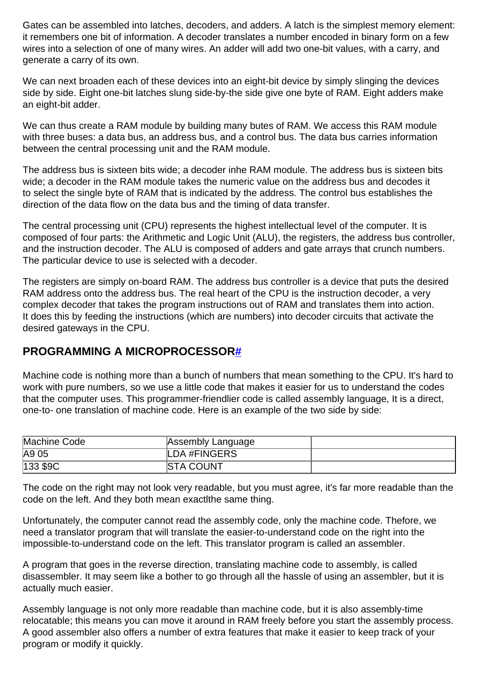Gates can be assembled into latches, decoders, and adders. A latch is the simplest memory element: it remembers one bit of information. A decoder translates a number encoded in binary form on a few wires into a selection of one of many wires. An adder will add two one-bit values, with a carry, and generate a carry of its own.

We can next broaden each of these devices into an eight-bit device by simply slinging the devices side by side. Eight one-bit latches slung side-by-the side give one byte of RAM. Eight adders make an eight-bit adder.

We can thus create a RAM module by building many butes of RAM. We access this RAM module with three buses: a data bus, an address bus, and a control bus. The data bus carries information between the central processing unit and the RAM module.

The address bus is sixteen bits wide; a decoder inhe RAM module. The address bus is sixteen bits wide; a decoder in the RAM module takes the numeric value on the address bus and decodes it to select the single byte of RAM that is indicated by the address. The control bus establishes the direction of the data flow on the data bus and the timing of data transfer.

The central processing unit (CPU) represents the highest intellectual level of the computer. It is composed of four parts: the Arithmetic and Logic Unit (ALU), the registers, the address bus controller, and the instruction decoder. The ALU is composed of adders and gate arrays that crunch numbers. The particular device to use is selected with a decoder.

The registers are simply on-board RAM. The address bus controller is a device that puts the desired RAM address onto the address bus. The real heart of the CPU is the instruction decoder, a very complex decoder that takes the program instructions out of RAM and translates them into action. It does this by feeding the instructions (which are numbers) into decoder circuits that activate the desired gateways in the CPU.

#### **PROGRAMMING A MICROPROCESSOR[#](http://[fd00::119]:8080/wiki/#section-Assembly+Course+from+ZMagazine-PROGRAMMINGAMICROPROCESSOR)**

Machine code is nothing more than a bunch of numbers that mean something to the CPU. It's hard to work with pure numbers, so we use a little code that makes it easier for us to understand the codes that the computer uses. This programmer-friendlier code is called assembly language, It is a direct, one-to- one translation of machine code. Here is an example of the two side by side:

| Machine Code | Assembly Language |  |
|--------------|-------------------|--|
| A9 05        | LDA #FINGERS      |  |
| 133 \$9C     | <b>STA COUNT</b>  |  |

The code on the right may not look very readable, but you must agree, it's far more readable than the code on the left. And they both mean exactlthe same thing.

Unfortunately, the computer cannot read the assembly code, only the machine code. Thefore, we need a translator program that will translate the easier-to-understand code on the right into the impossible-to-understand code on the left. This translator program is called an assembler.

A program that goes in the reverse direction, translating machine code to assembly, is called disassembler. It may seem like a bother to go through all the hassle of using an assembler, but it is actually much easier.

Assembly language is not only more readable than machine code, but it is also assembly-time relocatable; this means you can move it around in RAM freely before you start the assembly process. A good assembler also offers a number of extra features that make it easier to keep track of your program or modify it quickly.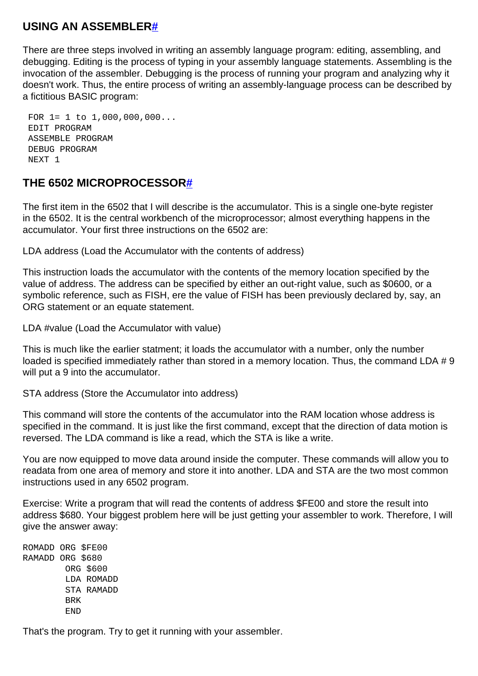#### **USING AN ASSEMBLE[R#](http://[fd00::119]:8080/wiki/#section-Assembly+Course+from+ZMagazine-USINGANASSEMBLER)**

There are three steps involved in writing an assembly language program: editing, assembling, and debugging. Editing is the process of typing in your assembly language statements. Assembling is the invocation of the assembler. Debugging is the process of running your program and analyzing why it doesn't work. Thus, the entire process of writing an assembly-language process can be described by a fictitious BASIC program:

 FOR 1= 1 to 1,000,000,000... EDIT PROGRAM ASSEMBLE PROGRAM DEBUG PROGRAM NEXT 1

#### **THE 6502 MICROPROCESSOR[#](http://[fd00::119]:8080/wiki/#section-Assembly+Course+from+ZMagazine-THE6502MICROPROCESSOR)**

The first item in the 6502 that I will describe is the accumulator. This is a single one-byte register in the 6502. It is the central workbench of the microprocessor; almost everything happens in the accumulator. Your first three instructions on the 6502 are:

LDA address (Load the Accumulator with the contents of address)

This instruction loads the accumulator with the contents of the memory location specified by the value of address. The address can be specified by either an out-right value, such as \$0600, or a symbolic reference, such as FISH, ere the value of FISH has been previously declared by, say, an ORG statement or an equate statement.

LDA #value (Load the Accumulator with value)

This is much like the earlier statment; it loads the accumulator with a number, only the number loaded is specified immediately rather than stored in a memory location. Thus, the command LDA # 9 will put a 9 into the accumulator.

STA address (Store the Accumulator into address)

This command will store the contents of the accumulator into the RAM location whose address is specified in the command. It is just like the first command, except that the direction of data motion is reversed. The LDA command is like a read, which the STA is like a write.

You are now equipped to move data around inside the computer. These commands will allow you to readata from one area of memory and store it into another. LDA and STA are the two most common instructions used in any 6502 program.

Exercise: Write a program that will read the contents of address \$FE00 and store the result into address \$680. Your biggest problem here will be just getting your assembler to work. Therefore, I will give the answer away:

ROMADD ORG \$FE00 RAMADD ORG \$680 ORG \$600 LDA ROMADD STA RAMADD BRK END

That's the program. Try to get it running with your assembler.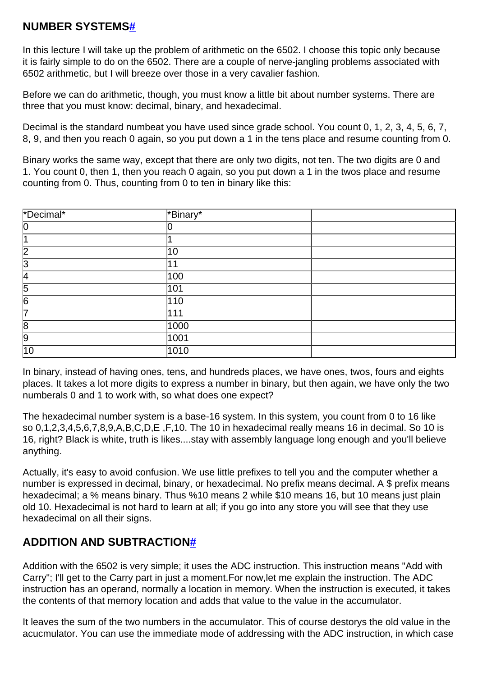#### **NUMBER SYSTEMS[#](http://[fd00::119]:8080/wiki/#section-Assembly+Course+from+ZMagazine-NUMBERSYSTEMS)**

In this lecture I will take up the problem of arithmetic on the 6502. I choose this topic only because it is fairly simple to do on the 6502. There are a couple of nerve-jangling problems associated with 6502 arithmetic, but I will breeze over those in a very cavalier fashion.

Before we can do arithmetic, though, you must know a little bit about number systems. There are three that you must know: decimal, binary, and hexadecimal.

Decimal is the standard numbeat you have used since grade school. You count 0, 1, 2, 3, 4, 5, 6, 7, 8, 9, and then you reach 0 again, so you put down a 1 in the tens place and resume counting from 0.

Binary works the same way, except that there are only two digits, not ten. The two digits are 0 and 1. You count 0, then 1, then you reach 0 again, so you put down a 1 in the twos place and resume counting from 0. Thus, counting from 0 to ten in binary like this:

| *Decimal*      | $\sqrt{\mathsf{FBinary}^*}$ |
|----------------|-----------------------------|
| IO             |                             |
|                |                             |
| 12             | 10                          |
| 13             | 11                          |
| 14             | 100                         |
| $\overline{5}$ | $\overline{101}$            |
| $\overline{6}$ | $\overline{110}$            |
| 17             | 111                         |
| 8              | 1000                        |
| 9              | 1001                        |
| 10             | 1010                        |

In binary, instead of having ones, tens, and hundreds places, we have ones, twos, fours and eights places. It takes a lot more digits to express a number in binary, but then again, we have only the two numberals 0 and 1 to work with, so what does one expect?

The hexadecimal number system is a base-16 system. In this system, you count from 0 to 16 like so 0,1,2,3,4,5,6,7,8,9,A,B,C,D,E ,F,10. The 10 in hexadecimal really means 16 in decimal. So 10 is 16, right? Black is white, truth is likes....stay with assembly language long enough and you'll believe anything.

Actually, it's easy to avoid confusion. We use little prefixes to tell you and the computer whether a number is expressed in decimal, binary, or hexadecimal. No prefix means decimal. A \$ prefix means hexadecimal; a % means binary. Thus %10 means 2 while \$10 means 16, but 10 means just plain old 10. Hexadecimal is not hard to learn at all; if you go into any store you will see that they use hexadecimal on all their signs.

## **ADDITION AND SUBTRACTION[#](http://[fd00::119]:8080/wiki/#section-Assembly+Course+from+ZMagazine-ADDITIONANDSUBTRACTION)**

Addition with the 6502 is very simple; it uses the ADC instruction. This instruction means "Add with Carry"; I'll get to the Carry part in just a moment.For now,let me explain the instruction. The ADC instruction has an operand, normally a location in memory. When the instruction is executed, it takes the contents of that memory location and adds that value to the value in the accumulator.

It leaves the sum of the two numbers in the accumulator. This of course destorys the old value in the acucmulator. You can use the immediate mode of addressing with the ADC instruction, in which case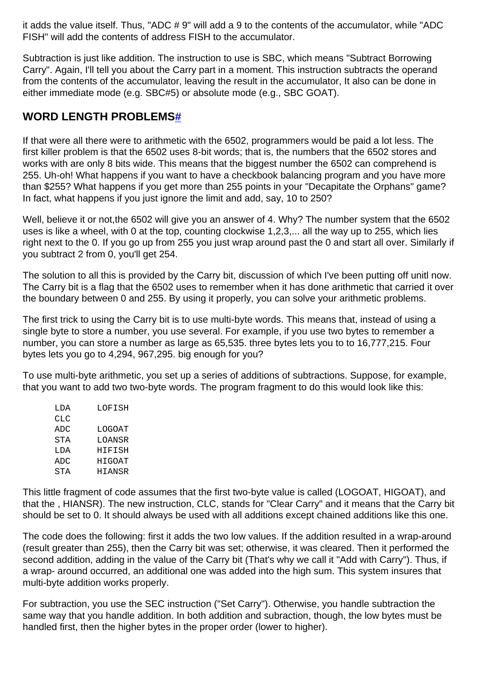it adds the value itself. Thus, "ADC # 9" will add a 9 to the contents of the accumulator, while "ADC FISH" will add the contents of address FISH to the accumulator.

Subtraction is just like addition. The instruction to use is SBC, which means "Subtract Borrowing Carry". Again, I'll tell you about the Carry part in a moment. This instruction subtracts the operand from the contents of the accumulator, leaving the result in the accumulator, It also can be done in either immediate mode (e.g. SBC#5) or absolute mode (e.g., SBC GOAT).

### **WORD LENGTH PROBLEMS[#](http://[fd00::119]:8080/wiki/#section-Assembly+Course+from+ZMagazine-WORDLENGTHPROBLEMS)**

If that were all there were to arithmetic with the 6502, programmers would be paid a lot less. The first killer problem is that the 6502 uses 8-bit words; that is, the numbers that the 6502 stores and works with are only 8 bits wide. This means that the biggest number the 6502 can comprehend is 255. Uh-oh! What happens if you want to have a checkbook balancing program and you have more than \$255? What happens if you get more than 255 points in your "Decapitate the Orphans" game? In fact, what happens if you just ignore the limit and add, say, 10 to 250?

Well, believe it or not, the 6502 will give you an answer of 4. Why? The number system that the 6502 uses is like a wheel, with 0 at the top, counting clockwise 1,2,3,... all the way up to 255, which lies right next to the 0. If you go up from 255 you just wrap around past the 0 and start all over. Similarly if you subtract 2 from 0, you'll get 254.

The solution to all this is provided by the Carry bit, discussion of which I've been putting off unitl now. The Carry bit is a flag that the 6502 uses to remember when it has done arithmetic that carried it over the boundary between 0 and 255. By using it properly, you can solve your arithmetic problems.

The first trick to using the Carry bit is to use multi-byte words. This means that, instead of using a single byte to store a number, you use several. For example, if you use two bytes to remember a number, you can store a number as large as 65,535. three bytes lets you to to 16,777,215. Four bytes lets you go to 4,294, 967,295. big enough for you?

To use multi-byte arithmetic, you set up a series of additions of subtractions. Suppose, for example, that you want to add two two-byte words. The program fragment to do this would look like this:

| T DA | LOFISH |
|------|--------|
| CLC  |        |
| ADC  | LOGOAT |
| STA  | LOANSR |
| LDA  | HIFISH |
| ADC  | HIGOAT |
| STA  | HIANSR |

This little fragment of code assumes that the first two-byte value is called (LOGOAT, HIGOAT), and that the , HIANSR). The new instruction, CLC, stands for "Clear Carry" and it means that the Carry bit should be set to 0. It should always be used with all additions except chained additions like this one.

The code does the following: first it adds the two low values. If the addition resulted in a wrap-around (result greater than 255), then the Carry bit was set; otherwise, it was cleared. Then it performed the second addition, adding in the value of the Carry bit (That's why we call it "Add with Carry"). Thus, if a wrap- around occurred, an additional one was added into the high sum. This system insures that multi-byte addition works properly.

For subtraction, you use the SEC instruction ("Set Carry"). Otherwise, you handle subtraction the same way that you handle addition. In both addition and subraction, though, the low bytes must be handled first, then the higher bytes in the proper order (lower to higher).